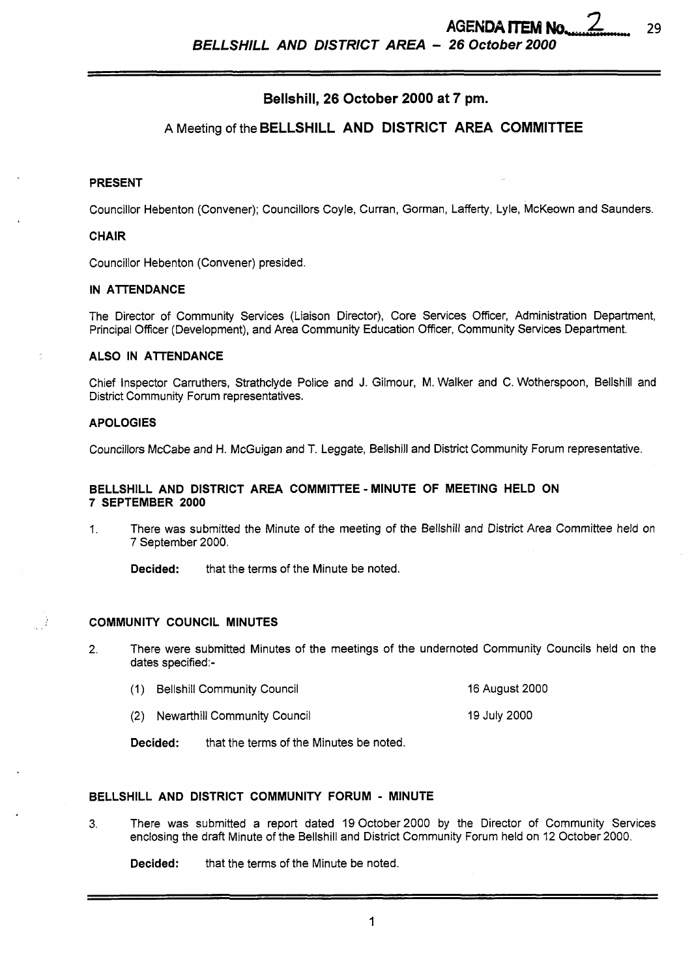$\overline{\mathcal{L}}$ 

*BELLSHILL AND DISTRICT AREA* - *26 October 2000* 

## **Bellshill, 26 October 2000 at 7 pm.**

# **A** Meeting of the **BELLSHILL AND DISTRICT AREA COMMITTEE**

#### **PRESENT**

Councillor Hebenton (Convener); Councillors Coyle, Curran, Gorman, Lafferty, Lyle, McKeown and Saunders.

#### **CHAIR**

Councillor Hebenton (Convener) presided.

#### **IN ATTENDANCE**

The Director of Community Services (Liaison Director), Core Services Officer, Administration Department, Principal Officer (Development), and Area Community Education Officer, community Services Department.

### **ALSO IN ATTENDANCE**

Chief Inspector Carruthers, Strathclyde Police and J. Gilmour, M. Walker and C. Wotherspoon, Bellshill and District community Forum representatives.

#### **APOLOGIES**

Councillors McCabe and H. McGuigan and T. Leggate, Bellshill and District community Forum representative.

### **BELLSHILL AND DISTRICT AREA COMMITTEE** - **MINUTE OF MEETING HELD ON 7 SEPTEMBER 2000**

- 1. There was submitted the Minute of the meeting of the Bellshill and District Area Committee held on 7 September 2000.
	- **Decided:** that the terms of the Minute be noted.

#### **COMMUNITY COUNCIL MINUTES**

- 2. There were submitted Minutes of the meetings of the undernoted Community Councils held on the dates specified:-
	- (1) Bellshill Community Council 16 August 2000
	- (2) Newarthill Community Council 19 July 2000

**Decided:** that the terms of the Minutes be noted.

### **BELLSHILL AND DISTRICT COMMUNITY FORUM** - **MINUTE**

3. There **was** submitted a report dated 19October2000 by the Director of community Services enclosing the draft Minute of the Bellshill and District Community Forum held on 12 October 2000.

**Decided:** that the terms of the Minute be noted.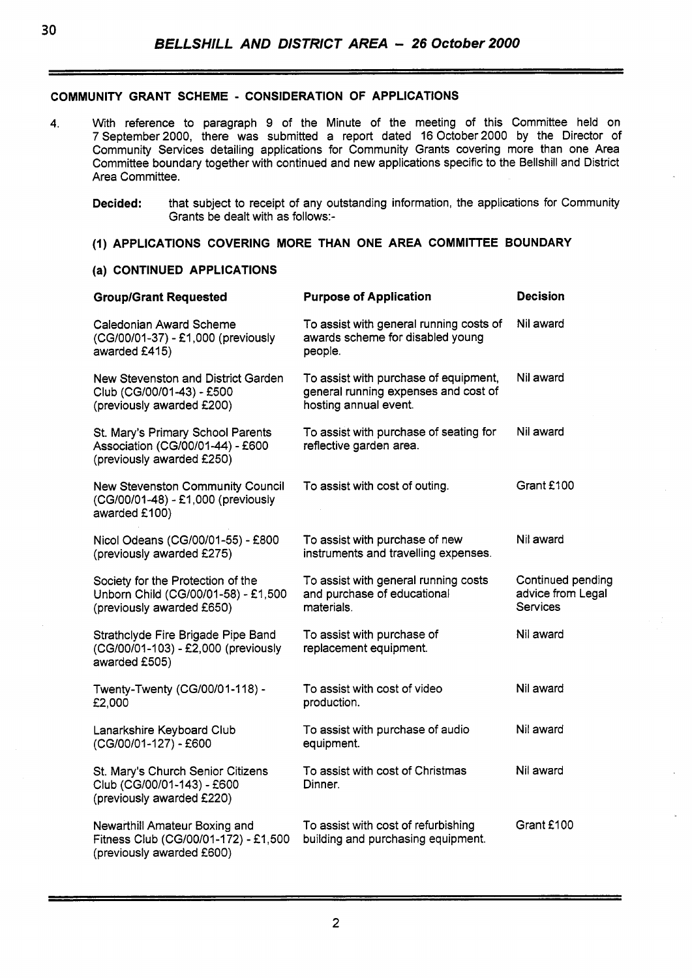# **COMMUNITY GRANT SCHEME** - **CONSIDERATION OF APPLICATIONS**

4. With reference to paragraph **9** of the Minute of the meeting of this Committee held on 7 September2000, there was submitted a report dated 16 October2000 by the Director of community Services detailing applications for community Grants covering more than one Area Committee boundary together with continued and new applications specific to the Bellshill and District Area Committee.

**Decided:** that subject to receipt of any outstanding information, the applications for community Grants be dealt with as follows:-

# **(1) APPLICATIONS COVERING MORE THAN ONE AREA COMMITTEE BOUNDARY**

## **(a) CONTINUED APPLICATIONS**

| <b>Group/Grant Requested</b>                                                                          | <b>Purpose of Application</b>                                                                          | <b>Decision</b>                                           |
|-------------------------------------------------------------------------------------------------------|--------------------------------------------------------------------------------------------------------|-----------------------------------------------------------|
| Caledonian Award Scheme<br>(CG/00/01-37) - £1,000 (previously<br>awarded £415)                        | To assist with general running costs of<br>awards scheme for disabled young<br>people.                 | Nil award                                                 |
| New Stevenston and District Garden<br>Club (CG/00/01-43) - £500<br>(previously awarded £200)          | To assist with purchase of equipment,<br>general running expenses and cost of<br>hosting annual event. | Nil award                                                 |
| St. Mary's Primary School Parents<br>Association (CG/00/01-44) - £600<br>(previously awarded £250)    | To assist with purchase of seating for<br>reflective garden area.                                      | Nil award                                                 |
| <b>New Stevenston Community Council</b><br>(CG/00/01-48) - £1,000 (previously<br>awarded £100)        | To assist with cost of outing.                                                                         | Grant £100                                                |
| Nicol Odeans (CG/00/01-55) - £800<br>(previously awarded £275)                                        | To assist with purchase of new<br>instruments and travelling expenses.                                 | Nil award                                                 |
| Society for the Protection of the<br>Unborn Child (CG/00/01-58) - £1,500<br>(previously awarded £650) | To assist with general running costs<br>and purchase of educational<br>materials.                      | Continued pending<br>advice from Legal<br><b>Services</b> |
| Strathclyde Fire Brigade Pipe Band<br>(CG/00/01-103) - £2,000 (previously<br>awarded £505)            | To assist with purchase of<br>replacement equipment.                                                   | Nil award                                                 |
| Twenty-Twenty (CG/00/01-118) -<br>£2,000                                                              | To assist with cost of video<br>production.                                                            | Nil award                                                 |
| Lanarkshire Keyboard Club<br>(CG/00/01-127) - £600                                                    | To assist with purchase of audio<br>equipment.                                                         | Nil award                                                 |
| St. Mary's Church Senior Citizens<br>Club (CG/00/01-143) - £600<br>(previously awarded £220)          | To assist with cost of Christmas<br>Dinner.                                                            | Nil award                                                 |
| Newarthill Amateur Boxing and<br>Fitness Club (CG/00/01-172) - £1,500<br>(previously awarded £600)    | To assist with cost of refurbishing<br>building and purchasing equipment.                              | Grant £100                                                |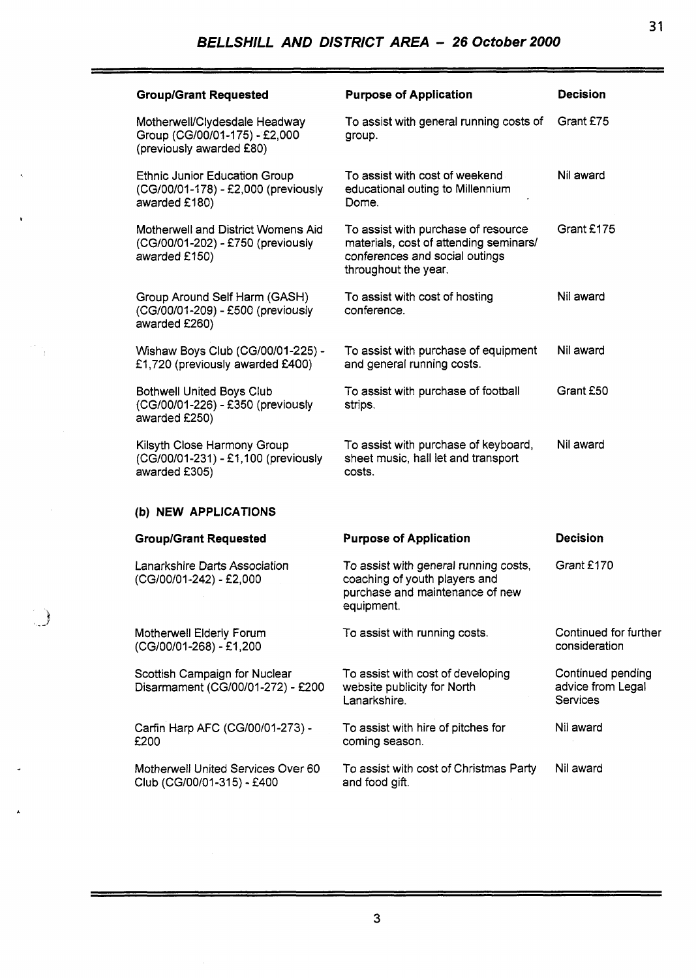| <b>Group/Grant Requested</b>                                                                 | <b>Purpose of Application</b>                                                                                                           | <b>Decision</b>                                           |
|----------------------------------------------------------------------------------------------|-----------------------------------------------------------------------------------------------------------------------------------------|-----------------------------------------------------------|
| Motherwell/Clydesdale Headway<br>Group (CG/00/01-175) - £2,000<br>(previously awarded £80)   | To assist with general running costs of<br>group.                                                                                       | Grant £75                                                 |
| <b>Ethnic Junior Education Group</b><br>(CG/00/01-178) - £2,000 (previously<br>awarded £180) | To assist with cost of weekend<br>educational outing to Millennium<br>Dome.                                                             | Nil award                                                 |
| Motherwell and District Womens Aid<br>(CG/00/01-202) - £750 (previously<br>awarded £150)     | To assist with purchase of resource<br>materials, cost of attending seminars/<br>conferences and social outings<br>throughout the year. | Grant £175                                                |
| Group Around Self Harm (GASH)<br>(CG/00/01-209) - £500 (previously<br>awarded £260)          | To assist with cost of hosting<br>conference.                                                                                           | Nil award                                                 |
| Wishaw Boys Club (CG/00/01-225) -<br>£1,720 (previously awarded £400)                        | To assist with purchase of equipment<br>and general running costs.                                                                      | Nil award                                                 |
| <b>Bothwell United Boys Club</b><br>(CG/00/01-226) - £350 (previously<br>awarded £250)       | To assist with purchase of football<br>strips.                                                                                          | Grant £50                                                 |
| Kilsyth Close Harmony Group<br>(CG/00/01-231) - £1,100 (previously<br>awarded £305)          | To assist with purchase of keyboard,<br>sheet music, hall let and transport<br>costs.                                                   | Nil award                                                 |
| (b) NEW APPLICATIONS                                                                         |                                                                                                                                         |                                                           |
| <b>Group/Grant Requested</b>                                                                 | <b>Purpose of Application</b>                                                                                                           | <b>Decision</b>                                           |
| Lanarkshire Darts Association<br>(CG/00/01-242) - £2,000                                     | To assist with general running costs,<br>coaching of youth players and<br>purchase and maintenance of new<br>equipment.                 | Grant £170                                                |
| Motherwell Elderly Forum<br>(CG/00/01-268) - £1,200                                          | To assist with running costs.                                                                                                           | Continued for further<br>consideration                    |
| Scottish Campaign for Nuclear<br>Disarmament (CG/00/01-272) - £200                           | To assist with cost of developing<br>website publicity for North<br>Lanarkshire.                                                        | Continued pending<br>advice from Legal<br><b>Services</b> |
| Carfin Harp AFC (CG/00/01-273) -<br>£200                                                     | To assist with hire of pitches for<br>coming season.                                                                                    | Nil award                                                 |
| Motherwell United Services Over 60<br>Club (CG/00/01-315) - £400                             | To assist with cost of Christmas Party<br>and food gift.                                                                                | Nil award                                                 |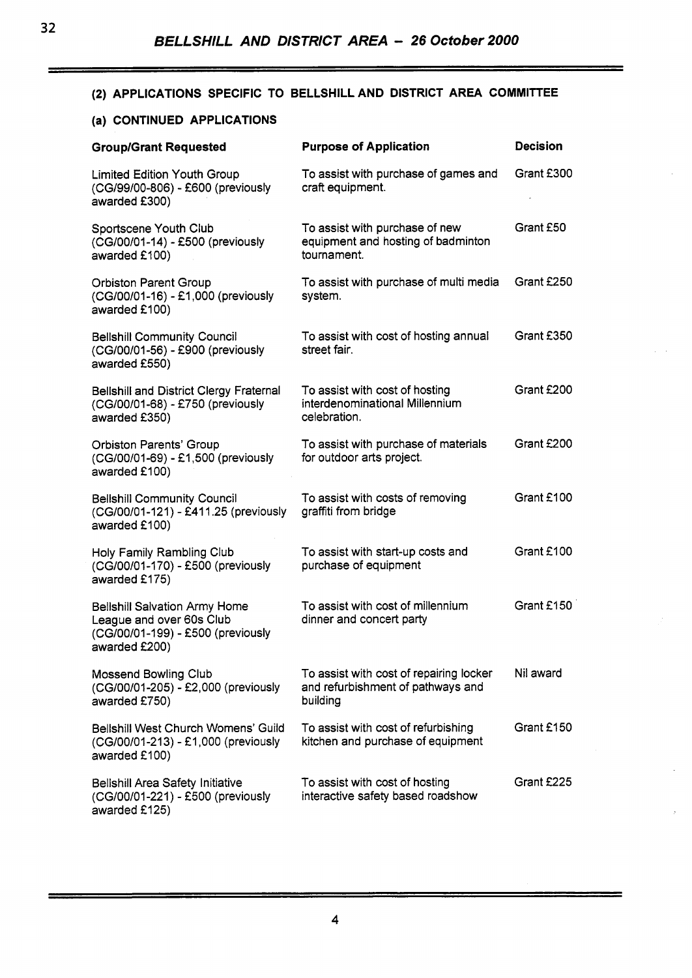# (2) APPLICATIONS SPECIFIC TO BELLSHILL AND DISTRICT AREA COMMITTEE

## **(a) CONTINUED APPLICATIONS**

| <b>Group/Grant Requested</b>                                                                                           | <b>Purpose of Application</b>                                                            | <b>Decision</b> |
|------------------------------------------------------------------------------------------------------------------------|------------------------------------------------------------------------------------------|-----------------|
| <b>Limited Edition Youth Group</b><br>(CG/99/00-806) - £600 (previously<br>awarded £300)                               | To assist with purchase of games and<br>craft equipment.                                 | Grant £300      |
| Sportscene Youth Club<br>(CG/00/01-14) - £500 (previously<br>awarded £100)                                             | To assist with purchase of new<br>equipment and hosting of badminton<br>tournament.      | Grant £50       |
| <b>Orbiston Parent Group</b><br>(CG/00/01-16) - £1,000 (previously<br>awarded £100)                                    | To assist with purchase of multi media<br>system.                                        | Grant £250      |
| <b>Bellshill Community Council</b><br>(CG/00/01-56) - £900 (previously<br>awarded £550)                                | To assist with cost of hosting annual<br>street fair.                                    | Grant £350      |
| <b>Bellshill and District Clergy Fraternal</b><br>(CG/00/01-68) - £750 (previously<br>awarded £350)                    | To assist with cost of hosting<br>interdenominational Millennium<br>celebration.         | Grant £200      |
| <b>Orbiston Parents' Group</b><br>(CG/00/01-69) - £1,500 (previously<br>awarded £100)                                  | To assist with purchase of materials<br>for outdoor arts project.                        | Grant £200      |
| <b>Bellshill Community Council</b><br>(CG/00/01-121) - £411.25 (previously<br>awarded £100)                            | To assist with costs of removing<br>graffiti from bridge                                 | Grant £100      |
| Holy Family Rambling Club<br>(CG/00/01-170) - £500 (previously<br>awarded £175)                                        | To assist with start-up costs and<br>purchase of equipment                               | Grant £100      |
| <b>Bellshill Salvation Army Home</b><br>League and over 60s Club<br>(CG/00/01-199) - £500 (previously<br>awarded £200) | To assist with cost of millennium<br>dinner and concert party                            | Grant £150      |
| <b>Mossend Bowling Club</b><br>(CG/00/01-205) - £2,000 (previously<br>awarded £750)                                    | To assist with cost of repairing locker<br>and refurbishment of pathways and<br>building | Nil award       |
| Belishill West Church Womens' Guild<br>(CG/00/01-213) - £1,000 (previously<br>awarded £100)                            | To assist with cost of refurbishing<br>kitchen and purchase of equipment                 | Grant £150      |
| <b>Bellshill Area Safety Initiative</b><br>(CG/00/01-221) - £500 (previously<br>awarded £125)                          | To assist with cost of hosting<br>interactive safety based roadshow                      | Grant £225      |

**4**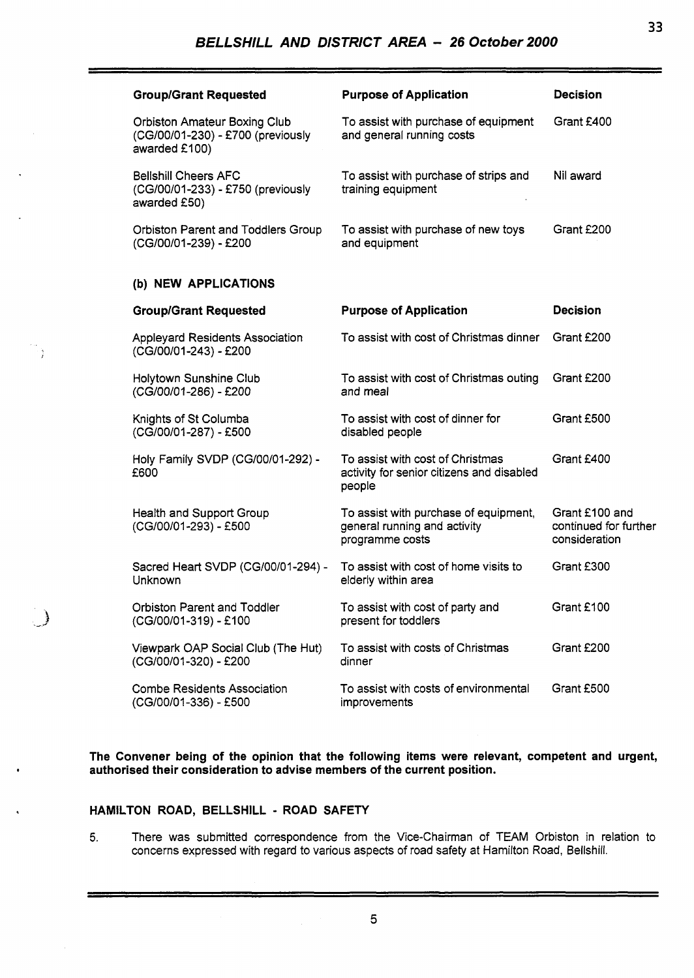| <b>Group/Grant Requested</b>                                                              | <b>Purpose of Application</b>                                                            | <b>Decision</b>                                          |
|-------------------------------------------------------------------------------------------|------------------------------------------------------------------------------------------|----------------------------------------------------------|
| <b>Orbiston Amateur Boxing Club</b><br>(CG/00/01-230) - £700 (previously<br>awarded £100) | To assist with purchase of equipment<br>and general running costs                        | Grant £400                                               |
| <b>Belishill Cheers AFC</b><br>(CG/00/01-233) - £750 (previously<br>awarded £50)          | To assist with purchase of strips and<br>training equipment                              | Nil award                                                |
| <b>Orbiston Parent and Toddlers Group</b><br>(CG/00/01-239) - £200                        | To assist with purchase of new toys<br>and equipment                                     | Grant £200                                               |
| (b) NEW APPLICATIONS                                                                      |                                                                                          |                                                          |
| <b>Group/Grant Requested</b>                                                              | <b>Purpose of Application</b>                                                            | <b>Decision</b>                                          |
| <b>Appleyard Residents Association</b><br>(CG/00/01-243) - £200                           | To assist with cost of Christmas dinner                                                  | Grant £200                                               |
| Holytown Sunshine Club<br>(CG/00/01-286) - £200                                           | To assist with cost of Christmas outing<br>and meal                                      | Grant £200                                               |
| Knights of St Columba<br>(CG/00/01-287) - £500                                            | To assist with cost of dinner for<br>disabled people                                     | Grant £500                                               |
| Holy Family SVDP (CG/00/01-292) -<br>£600                                                 | To assist with cost of Christmas<br>activity for senior citizens and disabled<br>people  | Grant £400                                               |
| <b>Health and Support Group</b><br>(CG/00/01-293) - £500                                  | To assist with purchase of equipment,<br>general running and activity<br>programme costs | Grant £100 and<br>continued for further<br>consideration |
| Sacred Heart SVDP (CG/00/01-294) -<br>Unknown                                             | To assist with cost of home visits to<br>elderly within area                             | Grant £300                                               |
| <b>Orbiston Parent and Toddler</b><br>(CG/00/01-319) - £100                               | To assist with cost of party and<br>present for toddlers                                 | Grant £100                                               |
| Viewpark OAP Social Club (The Hut)<br>(CG/00/01-320) - £200                               | To assist with costs of Christmas<br>dinner                                              | Grant £200                                               |
| <b>Combe Residents Association</b><br>(CG/00/01-336) - £500                               | To assist with costs of environmental<br>improvements                                    | Grant £500                                               |

**The Convener being of the opinion that the following items were relevant, competent and urgent, authorised their consideration to advise members of the current position.** 

### **HAMILTON ROAD, BELLSHILL** - **ROAD SAFETY**

3

 $\bigcup$ 

**5.** There was submitted correspondence from the Vice-chairman of TEAM Orbiston in relation to concerns expressed with regard to various aspects of road safety at Hamilton Road, Bellshill.